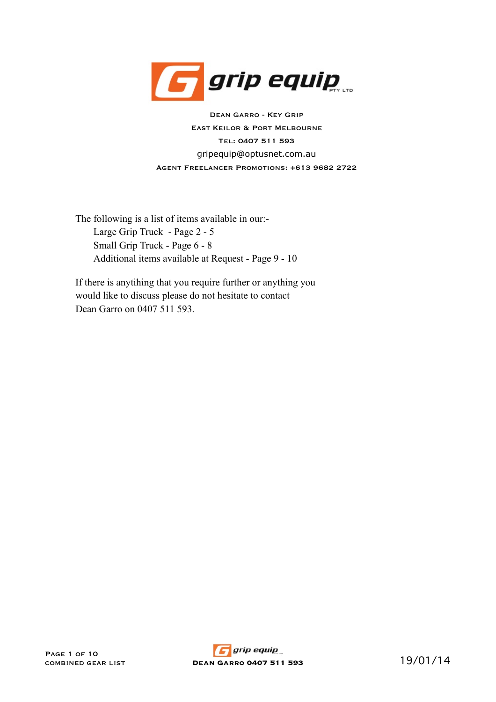

gripequip@optusnet.com.au Dean Garro - Key Grip East Keilor & Port Melbourne Tel: 0407 511 593 Agent Freelancer Promotions: +613 9682 2722

The following is a list of items available in our:- Large Grip Truck - Page 2 - 5 Small Grip Truck - Page 6 - 8 Additional items available at Request - Page 9 - 10

If there is anytihing that you require further or anything you would like to discuss please do not hesitate to contact Dean Garro on 0407 511 593.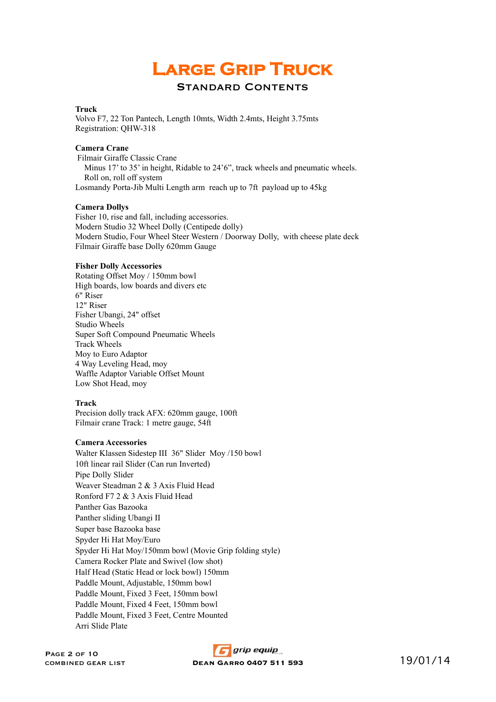# **Large Grip Truck**

# Standard Contents

#### **Truck**

Volvo F7, 22 Ton Pantech, Length 10mts, Width 2.4mts, Height 3.75mts Registration: QHW-318

## **Camera Crane**

 Filmair Giraffe Classic Crane Minus 17' to 35' in height, Ridable to 24'6", track wheels and pneumatic wheels. Roll on, roll off system Losmandy Porta-Jib Multi Length arm reach up to 7ft payload up to 45kg

## **Camera Dollys**

Fisher 10, rise and fall, including accessories. Modern Studio 32 Wheel Dolly (Centipede dolly) Modern Studio, Four Wheel Steer Western / Doorway Dolly, with cheese plate deck Filmair Giraffe base Dolly 620mm Gauge

#### **Fisher Dolly Accessories**

Rotating Offset Moy / 150mm bowl High boards, low boards and divers etc 6" Riser 12" Riser Fisher Ubangi, 24" offset Studio Wheels Super Soft Compound Pneumatic Wheels Track Wheels Moy to Euro Adaptor 4 Way Leveling Head, moy Waffle Adaptor Variable Offset Mount Low Shot Head, moy

## **Track**

Precision dolly track AFX: 620mm gauge, 100ft Filmair crane Track: 1 metre gauge, 54ft

# **Camera Accessories**

Walter Klassen Sidestep III 36" Slider Moy /150 bowl 10ft linear rail Slider (Can run Inverted) Pipe Dolly Slider Weaver Steadman 2 & 3 Axis Fluid Head Ronford F7 2 & 3 Axis Fluid Head Panther Gas Bazooka Panther sliding Ubangi II Super base Bazooka base Spyder Hi Hat Moy/Euro Spyder Hi Hat Moy/150mm bowl (Movie Grip folding style) Camera Rocker Plate and Swivel (low shot) Half Head (Static Head or lock bowl) 150mm Paddle Mount, Adjustable, 150mm bowl Paddle Mount, Fixed 3 Feet, 150mm bowl Paddle Mount, Fixed 4 Feet, 150mm bowl Paddle Mount, Fixed 3 Feet, Centre Mounted Arri Slide Plate

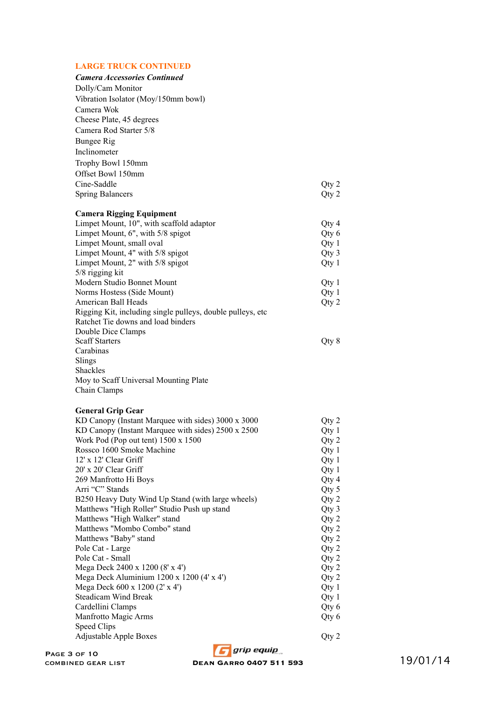# **LARGE TRUCK CONTINUED**

| <b>Camera Accessories Continued</b>                         |       |
|-------------------------------------------------------------|-------|
| Dolly/Cam Monitor                                           |       |
| Vibration Isolator (Moy/150mm bowl)                         |       |
| Camera Wok                                                  |       |
| Cheese Plate, 45 degrees                                    |       |
| Camera Rod Starter 5/8                                      |       |
|                                                             |       |
| <b>Bungee Rig</b>                                           |       |
| Inclinometer                                                |       |
| Trophy Bowl 150mm                                           |       |
| Offset Bowl 150mm                                           |       |
| Cine-Saddle                                                 | Qty 2 |
| <b>Spring Balancers</b>                                     | Qty 2 |
|                                                             |       |
| <b>Camera Rigging Equipment</b>                             |       |
| Limpet Mount, 10", with scaffold adaptor                    | Qty 4 |
| Limpet Mount, 6", with 5/8 spigot                           | Qty 6 |
| Limpet Mount, small oval                                    | Qty 1 |
| Limpet Mount, 4" with 5/8 spigot                            | Qty 3 |
| Limpet Mount, 2" with 5/8 spigot                            | Qty 1 |
| 5/8 rigging kit                                             |       |
| Modern Studio Bonnet Mount                                  | Qty 1 |
| Norms Hostess (Side Mount)                                  | Qty 1 |
| American Ball Heads                                         | Qty 2 |
| Rigging Kit, including single pulleys, double pulleys, etc. |       |
| Ratchet Tie downs and load binders                          |       |
| Double Dice Clamps                                          |       |
| <b>Scaff Starters</b>                                       | Qty 8 |
| Carabinas                                                   |       |
| Slings                                                      |       |
| Shackles                                                    |       |
| Moy to Scaff Universal Mounting Plate                       |       |
| Chain Clamps                                                |       |
|                                                             |       |
|                                                             |       |
| <b>General Grip Gear</b>                                    |       |
| KD Canopy (Instant Marquee with sides) 3000 x 3000          | Qty 2 |
| KD Canopy (Instant Marquee with sides) 2500 x 2500          | Qty 1 |
| Work Pod (Pop out tent) 1500 x 1500                         | Qty 2 |
| Rossco 1600 Smoke Machine                                   | Qty 1 |
| 12' x 12' Clear Griff                                       | Qty 1 |
| 20' x 20' Clear Griff                                       | Qty 1 |
| 269 Manfrotto Hi Boys                                       | Qty 4 |
| Arri "C" Stands                                             | Qty 5 |
| B250 Heavy Duty Wind Up Stand (with large wheels)           | Qty 2 |
| Matthews "High Roller" Studio Push up stand                 | Qty 3 |
| Matthews "High Walker" stand                                | Qty 2 |
| Matthews "Mombo Combo" stand                                | Qty 2 |
| Matthews "Baby" stand                                       | Qty 2 |
| Pole Cat - Large                                            | Qty 2 |
| Pole Cat - Small                                            | Qty 2 |
| Mega Deck 2400 x 1200 (8' x 4')                             | Qty 2 |
| Mega Deck Aluminium 1200 x 1200 (4' x 4')                   | Qty 2 |
| Mega Deck 600 x 1200 (2' x 4')                              | Qty 1 |
| Steadicam Wind Break                                        | Qty 1 |
| Cardellini Clamps                                           | Qty 6 |
| Manfrotto Magic Arms                                        | Qty 6 |
| Speed Clips<br><b>Adjustable Apple Boxes</b>                | Qty 2 |

**combined gear of the gear list of the Combined Servestion Compton Compton Compton Compton Compton Compton Compton Compton Compton Compton Compton Compton Compton Compton Compton Compton Compton Compton Compton Compton Co**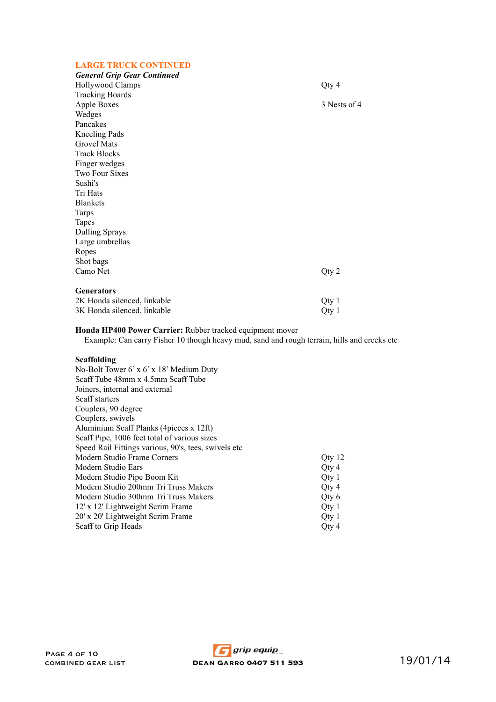# **LARGE TRUCK CONTINUED**

| <b>General Grip Gear Continued</b> |              |
|------------------------------------|--------------|
| Hollywood Clamps                   | Qty 4        |
| <b>Tracking Boards</b>             |              |
| <b>Apple Boxes</b>                 | 3 Nests of 4 |
| Wedges                             |              |
| Pancakes                           |              |
| <b>Kneeling Pads</b>               |              |
| <b>Grovel Mats</b>                 |              |
| <b>Track Blocks</b>                |              |
| Finger wedges                      |              |
| <b>Two Four Sixes</b>              |              |
| Sushi's                            |              |
| Tri Hats                           |              |
| <b>Blankets</b>                    |              |
| <b>Tarps</b>                       |              |
| <b>Tapes</b>                       |              |
| <b>Dulling Sprays</b>              |              |
| Large umbrellas                    |              |
| Ropes                              |              |
| Shot bags                          |              |
| Camo Net                           | Qty 2        |
|                                    |              |
| <b>Generators</b>                  |              |
| 2K Honda silenced, linkable        | Qty 1        |
| 3K Honda silenced, linkable        | Qty 1        |

# **Honda HP400 Power Carrier:** Rubber tracked equipment mover

Example: Can carry Fisher 10 though heavy mud, sand and rough terrain, hills and creeks etc

# **Scaffolding**

| No-Bolt Tower 6' x 6' x 18' Medium Duty               |                  |
|-------------------------------------------------------|------------------|
| Scaff Tube 48mm x 4.5mm Scaff Tube                    |                  |
| Joiners, internal and external                        |                  |
| Scaff starters                                        |                  |
| Couplers, 90 degree                                   |                  |
| Couplers, swivels                                     |                  |
| Aluminium Scaff Planks (4 pieces x 12ft)              |                  |
| Scaff Pipe, 1006 feet total of various sizes          |                  |
| Speed Rail Fittings various, 90's, tees, swivels etc. |                  |
| Modern Studio Frame Corners                           | Qty 12           |
| Modern Studio Ears                                    | Qty 4            |
| Modern Studio Pipe Boom Kit                           | Otv <sub>1</sub> |
| Modern Studio 200mm Tri Truss Makers                  | Oty $4$          |
| Modern Studio 300mm Tri Truss Makers                  | Oty 6            |
| 12' x 12' Lightweight Scrim Frame                     | Qty 1            |
| 20' x 20' Lightweight Scrim Frame                     | Oty 1            |
| Scaff to Grip Heads                                   | Oty 4            |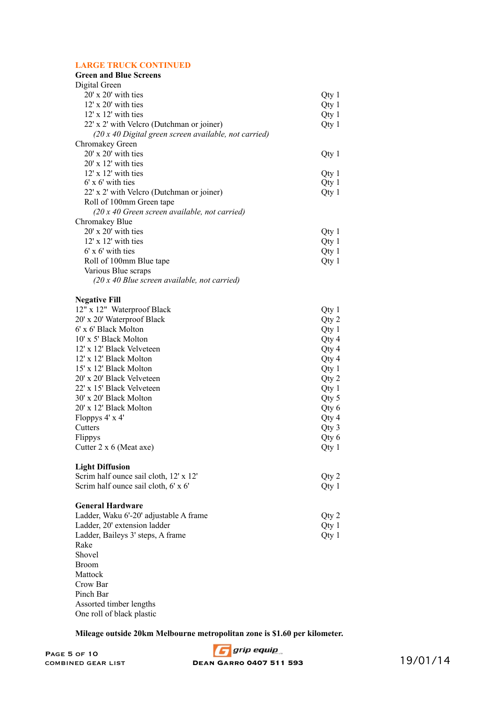# **LARGE TRUCK CONTINUED**

| <b>Green and Blue Screens</b>                          |         |
|--------------------------------------------------------|---------|
| Digital Green                                          |         |
| 20' x 20' with ties                                    | Qty 1   |
| $12'$ x $20'$ with ties                                | Qty 1   |
| $12'$ x $12'$ with ties                                | Qty 1   |
| 22' x 2' with Velcro (Dutchman or joiner)              | Qty 1   |
| $(20x 40$ Digital green screen available, not carried) |         |
| Chromakey Green                                        |         |
| $20'$ x $20'$ with ties                                | Qty1    |
| $20'$ x 12' with ties                                  |         |
| 12' x 12' with ties                                    | Qty 1   |
| $6'$ x $6'$ with ties                                  | Qty 1   |
| 22' x 2' with Velcro (Dutchman or joiner)              | Qty 1   |
| Roll of 100mm Green tape                               |         |
| $(20x 40$ Green screen available, not carried)         |         |
| Chromakey Blue                                         |         |
| $20'$ x $20'$ with ties                                | Qty 1   |
| $12'$ x $12'$ with ties                                | Qty 1   |
| $6'$ x $6'$ with ties                                  | Qty 1   |
| Roll of 100mm Blue tape                                | Qty 1   |
| Various Blue scraps                                    |         |
| $(20x 40$ Blue screen available, not carried)          |         |
|                                                        |         |
| <b>Negative Fill</b>                                   |         |
| 12" x 12" Waterproof Black                             | $Qty$ 1 |
| 20' x 20' Waterproof Black                             | Qty 2   |
| 6' x 6' Black Molton                                   | Qty1    |
| 10' x 5' Black Molton                                  | Qty 4   |
| 12' x 12' Black Velveteen                              | Qty 4   |
| 12' x 12' Black Molton                                 | Qty 4   |
| 15' x 12' Black Molton                                 | Qty 1   |
| 20' x 20' Black Velveteen                              | Qty 2   |
| 22' x 15' Black Velveteen                              | Qty 1   |
| 30' x 20' Black Molton                                 | Qty 5   |
| 20' x 12' Black Molton                                 | Qty 6   |
| Floppys 4' x 4'                                        | Qty 4   |
| Cutters                                                | Qty 3   |
| Flippys                                                | Qty 6   |
| Cutter $2 \times 6$ (Meat axe)                         | Qty 1   |
|                                                        |         |
| <b>Light Diffusion</b>                                 |         |
| Scrim half ounce sail cloth, 12' x 12'                 | Qty 2   |
| Scrim half ounce sail cloth, 6' x 6'                   | Qty 1   |
|                                                        |         |
| <b>General Hardware</b>                                |         |
| Ladder, Waku 6'-20' adjustable A frame                 | Qty 2   |
| Ladder, 20' extension ladder                           | Qty 1   |
| Ladder, Baileys 3' steps, A frame                      | Qty 1   |
| Rake                                                   |         |
| Shovel                                                 |         |
| <b>Broom</b>                                           |         |
| Mattock                                                |         |

Crow Bar Pinch Bar Assorted timber lengths One roll of black plastic

**Mileage outside 20km Melbourne metropolitan zone is \$1.60 per kilometer.**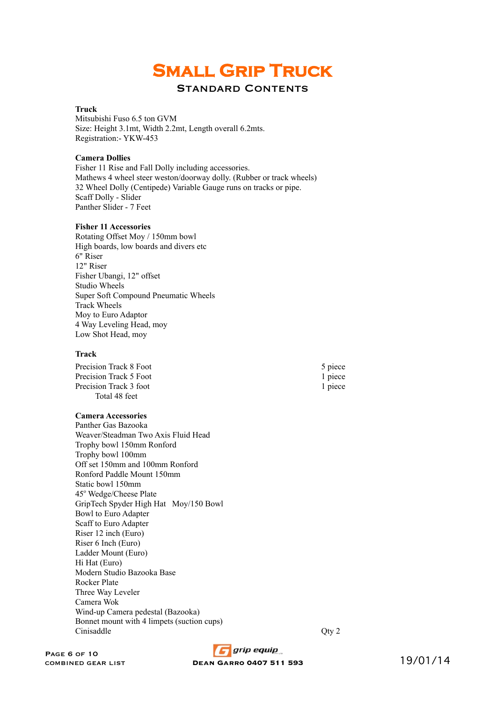# **Small Grip Truck**

# Standard Contents

# **Truck**

Mitsubishi Fuso 6.5 ton GVM Size: Height 3.1mt, Width 2.2mt, Length overall 6.2mts. Registration:- YKW-453

#### **Camera Dollies**

Fisher 11 Rise and Fall Dolly including accessories. Mathews 4 wheel steer weston/doorway dolly. (Rubber or track wheels) Scaff Dolly - Slider Panther Slider - 7 Feet 32 Wheel Dolly (Centipede) Variable Gauge runs on tracks or pipe.

#### **Fisher 11 Accessories**

Rotating Offset Moy / 150mm bowl High boards, low boards and divers etc 6" Riser 12" Riser Fisher Ubangi, 12" offset Studio Wheels Super Soft Compound Pneumatic Wheels Track Wheels Moy to Euro Adaptor 4 Way Leveling Head, moy Low Shot Head, moy

#### **Track**

Precision Track 8 Foot 5 piece Precision Track 5 Foot 1 piece Precision Track 3 foot 1 piece Total 48 feet

# **Camera Accessories**

Panther Gas Bazooka Weaver/Steadman Two Axis Fluid Head Trophy bowl 150mm Ronford Trophy bowl 100mm Off set 150mm and 100mm Ronford Ronford Paddle Mount 150mm Static bowl 150mm 45° Wedge/Cheese Plate GripTech Spyder High Hat Moy/150 Bowl Bowl to Euro Adapter Scaff to Euro Adapter Riser 12 inch (Euro) Riser 6 Inch (Euro) Ladder Mount (Euro) Hi Hat (Euro) Modern Studio Bazooka Base Rocker Plate Three Way Leveler Camera Wok Wind-up Camera pedestal (Bazooka) Bonnet mount with 4 limpets (suction cups) Cinisaddle Qty 2

PAGE 6 OF 10<br>COMBINED GEAR LIST

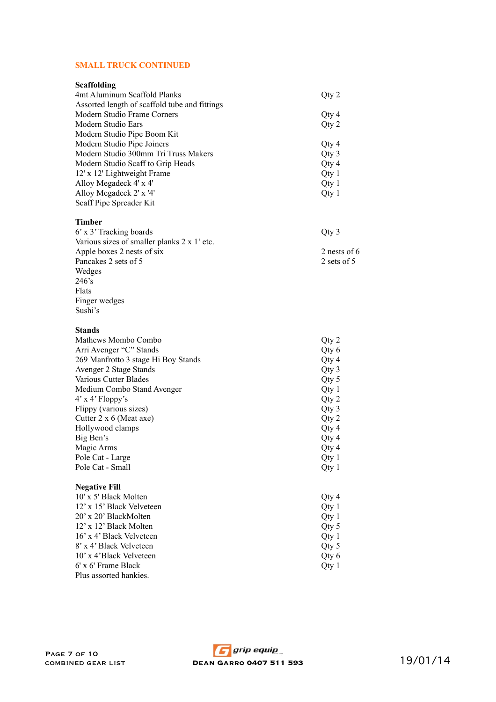## **SMALL TRUCK CONTINUED**

| Scaffolding                                   |       |
|-----------------------------------------------|-------|
| 4mt Aluminum Scaffold Planks                  | Qty 2 |
| Assorted length of scaffold tube and fittings |       |
| Modern Studio Frame Corners                   | Qty 4 |
| Modern Studio Ears                            | Qty 2 |
| Modern Studio Pipe Boom Kit                   |       |
| Modern Studio Pipe Joiners                    | Qty 4 |
| Modern Studio 300mm Tri Truss Makers          | Qty 3 |
| Modern Studio Scaff to Grip Heads             | Qty 4 |
| 12' x 12' Lightweight Frame                   | Qty 1 |
| Alloy Megadeck 4' x 4'                        | Qty 1 |
| Alloy Megadeck 2' x '4'                       | Qty 1 |
| Scaff Pipe Spreader Kit                       |       |
|                                               |       |

## **Timber** 6' x 3' Tracking boards Qty 3 Various sizes of smaller planks 2 x 1' etc. Apple boxes 2 nests of six 2 nests of 6<br>Pancakes 2 sets of 5<br>2 sets of 5 Pancakes  $2$  sets of  $5$ Wedges  $246\overline{\smash{\big)}\mathsf{s}}$ Flats Finger wedges Sushi's

#### **Stands**

| Mathews Mombo Combo                 | Qty 2 |
|-------------------------------------|-------|
| Arri Avenger "C" Stands             | Qty 6 |
| 269 Manfrotto 3 stage Hi Boy Stands | Qty 4 |
| Avenger 2 Stage Stands              | Qty 3 |
| Various Cutter Blades               | Qty 5 |
| Medium Combo Stand Avenger          | Qty1  |
| $4'$ x $4'$ Floppy's                | Qty 2 |
| Flippy (various sizes)              | Qty 3 |
| Cutter $2 \times 6$ (Meat axe)      | Qty 2 |
| Hollywood clamps                    | Qty 4 |
| Big Ben's                           | Qty 4 |
| Magic Arms                          | Qty 4 |
| Pole Cat - Large                    | Qty 1 |
| Pole Cat - Small                    | Qty 1 |
| <b>Negative Fill</b>                |       |
| 10' x 5' Black Molten               | Qty 4 |
| 12' x 15' Black Velveteen           | Qty 1 |
| 20' x 20' BlackMolten               | Qty 1 |
| 12' x 12' Black Molten              | Qty 5 |
| 16' x 4' Black Velveteen            | Qty 1 |

16' x 4' Black Velveteen Qty 1<br>
8' x 4' Black Velveteen Qty 5 8' x 4' Black Velveteen Qty 5<br>
10' x 4' Black Velveteen Qty 6 10' x 4'Black Velveteen Qty 6<br>
6' x 6' Frame Black Qty 1

 $6'$  x  $6'$  Frame Black Plus assorted hankies.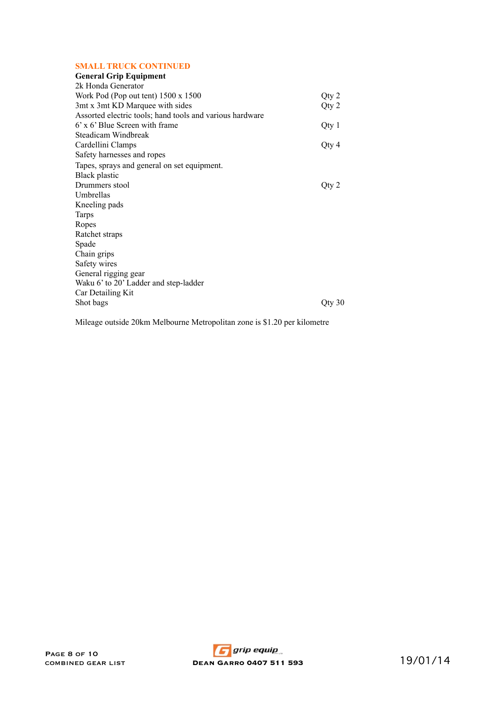## **SMALL TRUCK CONTINUED**

| <b>General Grip Equipment</b>                            |           |
|----------------------------------------------------------|-----------|
| 2k Honda Generator                                       |           |
| Work Pod (Pop out tent) 1500 x 1500                      | Qty 2     |
| 3mt x 3mt KD Marquee with sides                          | Qty 2     |
| Assorted electric tools; hand tools and various hardware |           |
| $6'$ x $6'$ Blue Screen with frame                       | Qty 1     |
| Steadicam Windbreak                                      |           |
| Cardellini Clamps                                        | Qty 4     |
| Safety harnesses and ropes                               |           |
| Tapes, sprays and general on set equipment.              |           |
| <b>Black plastic</b>                                     |           |
| Drummers stool                                           | Qty 2     |
| Umbrellas                                                |           |
| Kneeling pads                                            |           |
| <b>Tarps</b>                                             |           |
| Ropes                                                    |           |
| Ratchet straps                                           |           |
| Spade                                                    |           |
| Chain grips                                              |           |
| Safety wires                                             |           |
| General rigging gear                                     |           |
| Waku 6' to 20' Ladder and step-ladder                    |           |
| Car Detailing Kit                                        |           |
| Shot bags                                                | $Q$ ty 30 |
|                                                          |           |

Mileage outside 20km Melbourne Metropolitan zone is \$1.20 per kilometre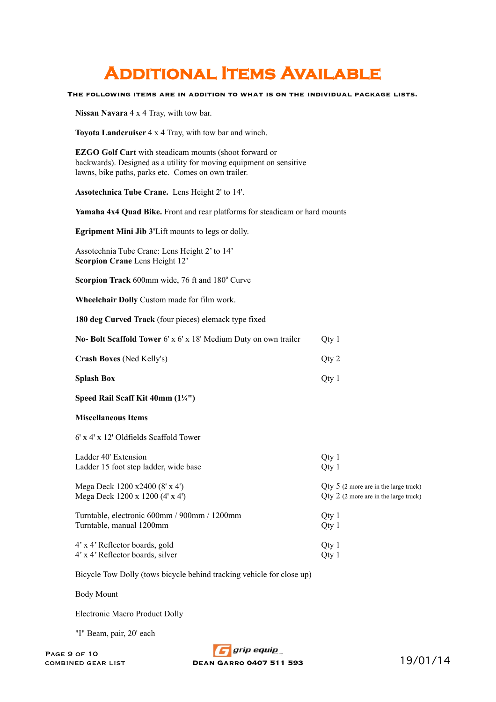# **Additional Items Available**

**The following items are in addition to what is on the individual package lists.**

**Nissan Navara** 4 x 4 Tray, with tow bar.

**Toyota Landcruiser** 4 x 4 Tray, with tow bar and winch.

**EZGO Golf Cart** with steadicam mounts (shoot forward or backwards). Designed as a utility for moving equipment on sensitive lawns, bike paths, parks etc. Comes on own trailer.

**Assotechnica Tube Crane.** Lens Height 2' to 14'.

**Yamaha 4x4 Quad Bike.** Front and rear platforms for steadicam or hard mounts

**Egripment Mini Jib 3'**Lift mounts to legs or dolly.

Assotechnia Tube Crane: Lens Height 2' to 14' **Scorpion Crane** Lens Height 12'

Scorpion Track 600mm wide, 76 ft and 180° Curve

**Wheelchair Dolly** Custom made for film work.

**180 deg Curved Track** (four pieces) elemack type fixed

| No- Bolt Scaffold Tower $6' \times 6' \times 18'$ Medium Duty on own trailer | Otv <sub>1</sub> |
|------------------------------------------------------------------------------|------------------|
| <b>Crash Boxes</b> (Ned Kelly's)                                             | Otv 2            |

- **Splash Box** Qty 1
- **Speed Rail Scaff Kit 40mm (1¼")**

#### **Miscellaneous Items**

6' x 4' x 12' Oldfields Scaffold Tower

| Ladder 40' Extension<br>Ladder 15 foot step ladder, wide base | Qty 1<br>Qty 1                          |
|---------------------------------------------------------------|-----------------------------------------|
| Mega Deck 1200 x2400 (8' x 4')                                | $Qty 5$ (2 more are in the large truck) |
| Mega Deck 1200 x 1200 (4' x 4')                               | $Qty$ 2 (2 more are in the large truck) |
| Turntable, electronic 600mm / 900mm / 1200mm                  | Qty 1                                   |
| Turntable, manual 1200mm                                      | Qty 1                                   |
| 4' x 4' Reflector boards, gold                                | Qty 1                                   |
| 4' x 4' Reflector boards, silver                              | Qty 1                                   |
|                                                               |                                         |

Bicycle Tow Dolly (tows bicycle behind tracking vehicle for close up)

Body Mount

Electronic Macro Product Dolly

"I" Beam, pair, 20' each